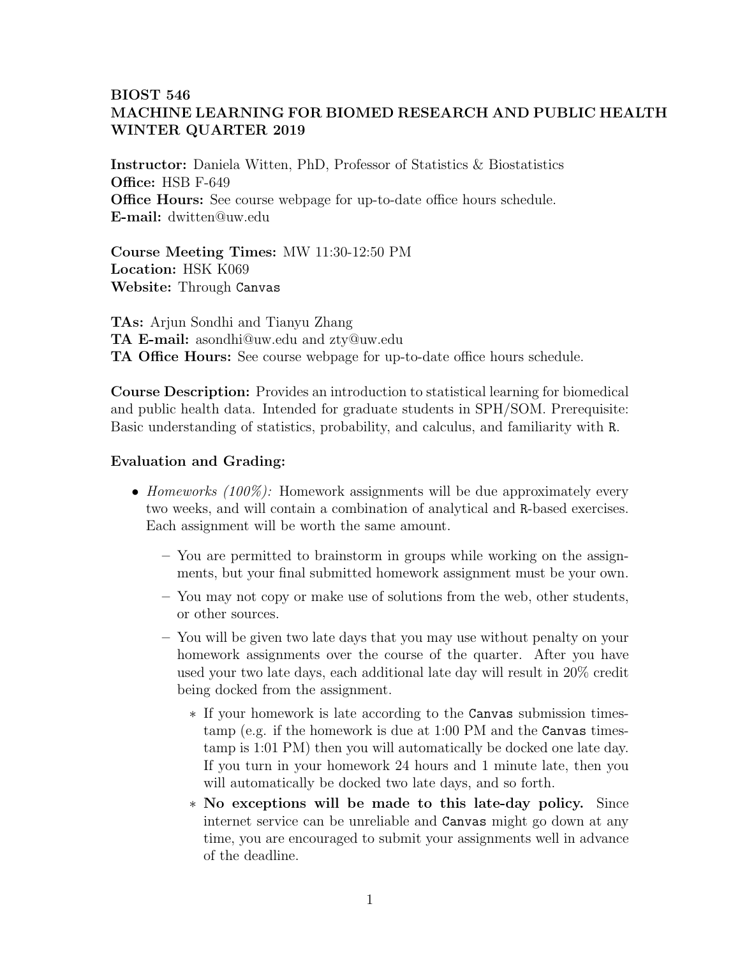## BIOST 546 MACHINE LEARNING FOR BIOMED RESEARCH AND PUBLIC HEALTH WINTER QUARTER 2019

Instructor: Daniela Witten, PhD, Professor of Statistics & Biostatistics Office: HSB F-649 **Office Hours:** See course webpage for up-to-date office hours schedule. E-mail: dwitten@uw.edu

Course Meeting Times: MW 11:30-12:50 PM Location: HSK K069 Website: Through Canvas

TAs: Arjun Sondhi and Tianyu Zhang TA E-mail: asondhi@uw.edu and zty@uw.edu TA Office Hours: See course webpage for up-to-date office hours schedule.

Course Description: Provides an introduction to statistical learning for biomedical and public health data. Intended for graduate students in SPH/SOM. Prerequisite: Basic understanding of statistics, probability, and calculus, and familiarity with R.

## Evaluation and Grading:

- Homeworks (100%): Homework assignments will be due approximately every two weeks, and will contain a combination of analytical and R-based exercises. Each assignment will be worth the same amount.
	- You are permitted to brainstorm in groups while working on the assignments, but your final submitted homework assignment must be your own.
	- You may not copy or make use of solutions from the web, other students, or other sources.
	- You will be given two late days that you may use without penalty on your homework assignments over the course of the quarter. After you have used your two late days, each additional late day will result in 20% credit being docked from the assignment.
		- ∗ If your homework is late according to the Canvas submission timestamp (e.g. if the homework is due at 1:00 PM and the Canvas timestamp is 1:01 PM) then you will automatically be docked one late day. If you turn in your homework 24 hours and 1 minute late, then you will automatically be docked two late days, and so forth.
		- ∗ No exceptions will be made to this late-day policy. Since internet service can be unreliable and Canvas might go down at any time, you are encouraged to submit your assignments well in advance of the deadline.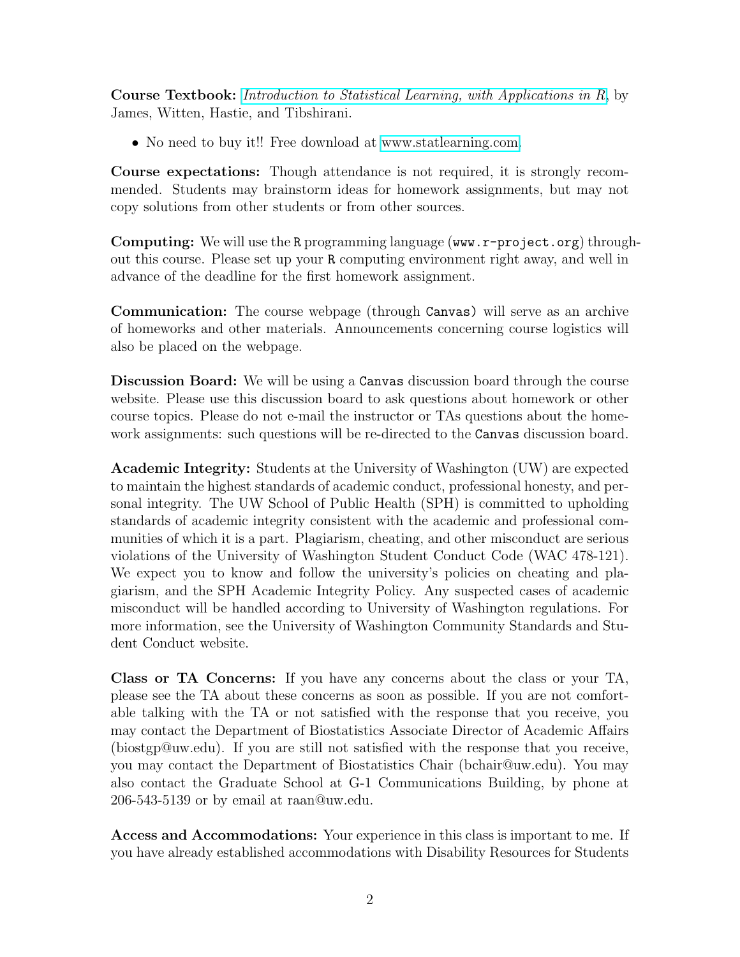Course Textbook: [Introduction to Statistical Learning, with Applications in R](http://www.amazon.com/Introduction-Statistical-Learning-Applications-Statistics/dp/1461471370), by James, Witten, Hastie, and Tibshirani.

• No need to buy it!! Free download at [www.statlearning.com.](http://www.statlearning.com)

Course expectations: Though attendance is not required, it is strongly recommended. Students may brainstorm ideas for homework assignments, but may not copy solutions from other students or from other sources.

Computing: We will use the R programming language (www.r-project.org) throughout this course. Please set up your R computing environment right away, and well in advance of the deadline for the first homework assignment.

Communication: The course webpage (through Canvas) will serve as an archive of homeworks and other materials. Announcements concerning course logistics will also be placed on the webpage.

Discussion Board: We will be using a Canvas discussion board through the course website. Please use this discussion board to ask questions about homework or other course topics. Please do not e-mail the instructor or TAs questions about the homework assignments: such questions will be re-directed to the Canvas discussion board.

Academic Integrity: Students at the University of Washington (UW) are expected to maintain the highest standards of academic conduct, professional honesty, and personal integrity. The UW School of Public Health (SPH) is committed to upholding standards of academic integrity consistent with the academic and professional communities of which it is a part. Plagiarism, cheating, and other misconduct are serious violations of the University of Washington Student Conduct Code (WAC 478-121). We expect you to know and follow the university's policies on cheating and plagiarism, and the SPH Academic Integrity Policy. Any suspected cases of academic misconduct will be handled according to University of Washington regulations. For more information, see the University of Washington Community Standards and Student Conduct website.

Class or TA Concerns: If you have any concerns about the class or your TA, please see the TA about these concerns as soon as possible. If you are not comfortable talking with the TA or not satisfied with the response that you receive, you may contact the Department of Biostatistics Associate Director of Academic Affairs (biostgp@uw.edu). If you are still not satisfied with the response that you receive, you may contact the Department of Biostatistics Chair (bchair@uw.edu). You may also contact the Graduate School at G-1 Communications Building, by phone at 206-543-5139 or by email at raan@uw.edu.

Access and Accommodations: Your experience in this class is important to me. If you have already established accommodations with Disability Resources for Students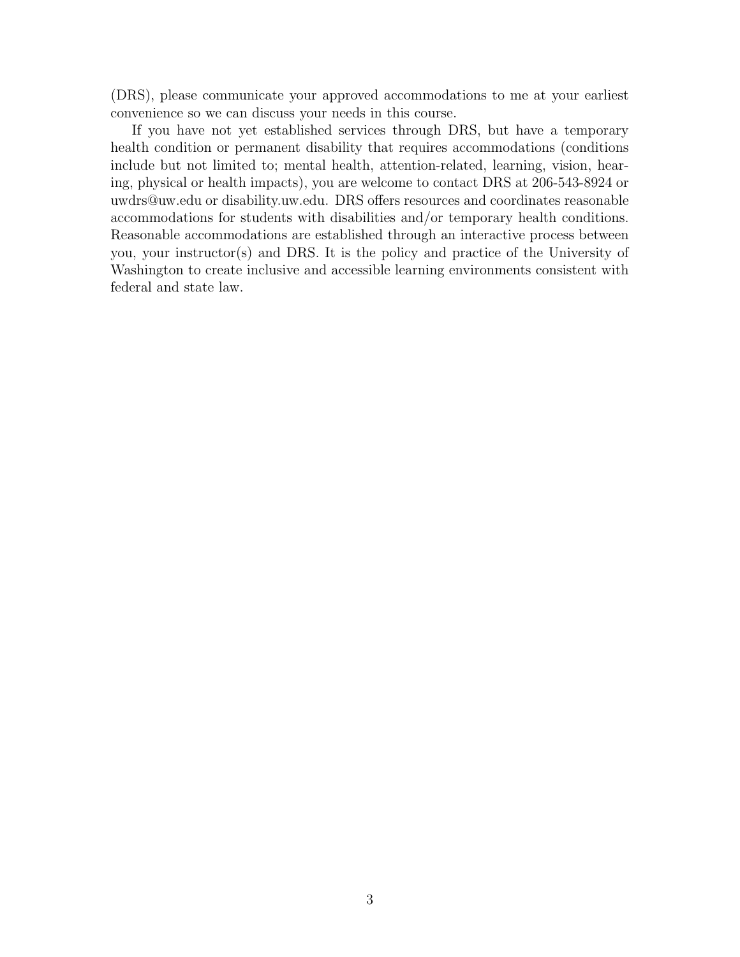(DRS), please communicate your approved accommodations to me at your earliest convenience so we can discuss your needs in this course.

If you have not yet established services through DRS, but have a temporary health condition or permanent disability that requires accommodations (conditions include but not limited to; mental health, attention-related, learning, vision, hearing, physical or health impacts), you are welcome to contact DRS at 206-543-8924 or uwdrs@uw.edu or disability.uw.edu. DRS offers resources and coordinates reasonable accommodations for students with disabilities and/or temporary health conditions. Reasonable accommodations are established through an interactive process between you, your instructor(s) and DRS. It is the policy and practice of the University of Washington to create inclusive and accessible learning environments consistent with federal and state law.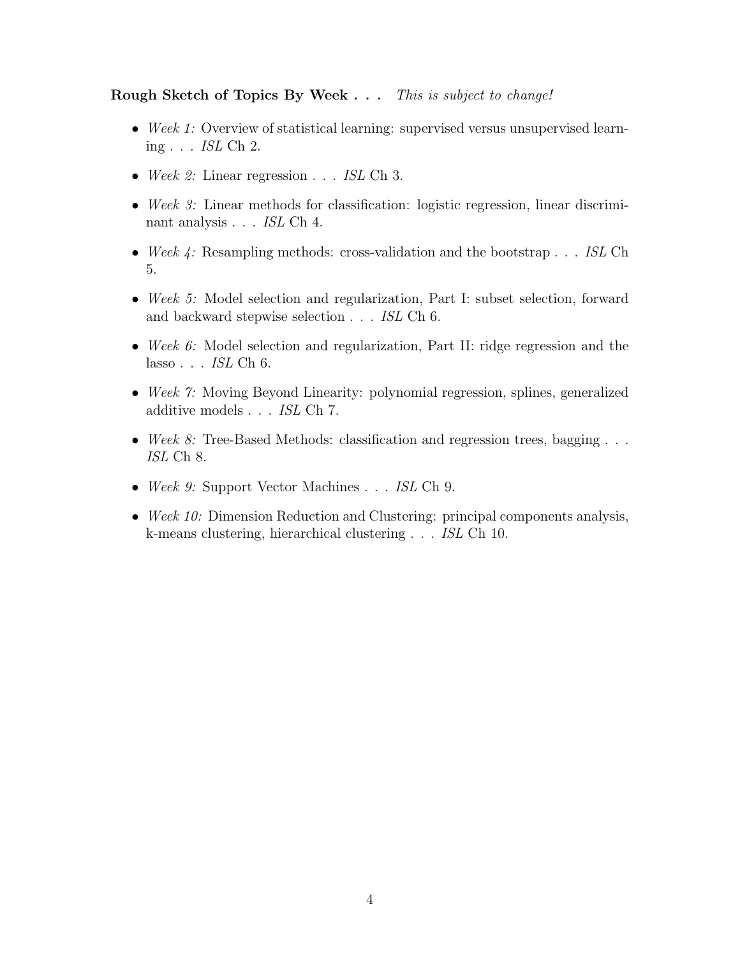## Rough Sketch of Topics By Week . . . This is subject to change!

- Week 1: Overview of statistical learning: supervised versus unsupervised learning . . . ISL Ch 2.
- Week 2: Linear regression . . . ISL Ch 3.
- Week 3: Linear methods for classification: logistic regression, linear discriminant analysis . . . ISL Ch 4.
- Week  $\downarrow$ : Resampling methods: cross-validation and the bootstrap . . . ISL Ch 5.
- Week 5: Model selection and regularization, Part I: subset selection, forward and backward stepwise selection . . . ISL Ch 6.
- Week 6: Model selection and regularization, Part II: ridge regression and the lasso  $\ldots$  *ISL* Ch 6.
- Week 7: Moving Beyond Linearity: polynomial regression, splines, generalized additive models . . .  $\it ISL$  Ch 7.
- Week 8: Tree-Based Methods: classification and regression trees, bagging  $\dots$ ISL Ch 8.
- Week 9: Support Vector Machines . . . ISL Ch 9.
- Week 10: Dimension Reduction and Clustering: principal components analysis, k-means clustering, hierarchical clustering . . . ISL Ch 10.